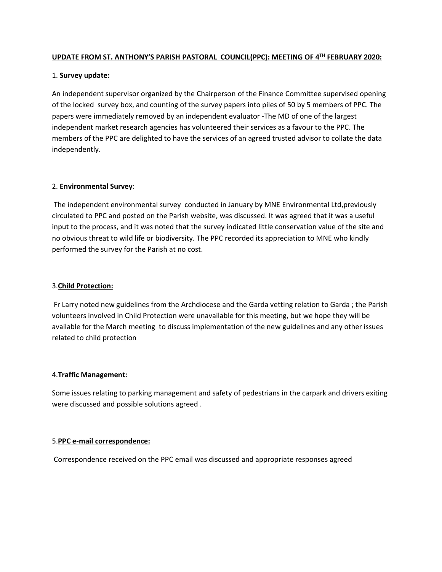## **UPDATE FROM ST. ANTHONY'S PARISH PASTORAL COUNCIL(PPC): MEETING OF 4TH FEBRUARY 2020:**

# 1. **Survey update:**

An independent supervisor organized by the Chairperson of the Finance Committee supervised opening of the locked survey box, and counting of the survey papers into piles of 50 by 5 members of PPC. The papers were immediately removed by an independent evaluator -The MD of one of the largest independent market research agencies has volunteered their services as a favour to the PPC. The members of the PPC are delighted to have the services of an agreed trusted advisor to collate the data independently.

# 2. **Environmental Survey**:

The independent environmental survey conducted in January by MNE Environmental Ltd,previously circulated to PPC and posted on the Parish website, was discussed. It was agreed that it was a useful input to the process, and it was noted that the survey indicated little conservation value of the site and no obvious threat to wild life or biodiversity. The PPC recorded its appreciation to MNE who kindly performed the survey for the Parish at no cost.

### 3.**Child Protection:**

Fr Larry noted new guidelines from the Archdiocese and the Garda vetting relation to Garda ; the Parish volunteers involved in Child Protection were unavailable for this meeting, but we hope they will be available for the March meeting to discuss implementation of the new guidelines and any other issues related to child protection

### 4.**Traffic Management:**

Some issues relating to parking management and safety of pedestrians in the carpark and drivers exiting were discussed and possible solutions agreed .

### 5.**PPC e-mail correspondence:**

Correspondence received on the PPC email was discussed and appropriate responses agreed